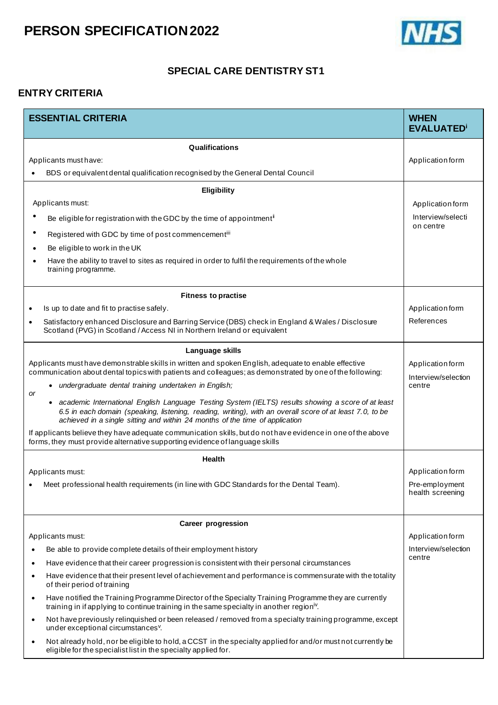

#### **SPECIAL CARE DENTISTRY ST1**

#### **ENTRY CRITERIA**

| <b>ESSENTIAL CRITERIA</b>                                                                                                                                                                                                                                                                        | <b>WHEN</b><br><b>EVALUATED</b> <sup>i</sup> |
|--------------------------------------------------------------------------------------------------------------------------------------------------------------------------------------------------------------------------------------------------------------------------------------------------|----------------------------------------------|
| Qualifications                                                                                                                                                                                                                                                                                   |                                              |
| Applicants must have:                                                                                                                                                                                                                                                                            | Application form                             |
| BDS or equivalent dental qualification recognised by the General Dental Council                                                                                                                                                                                                                  |                                              |
| Eligibility                                                                                                                                                                                                                                                                                      |                                              |
| Applicants must:                                                                                                                                                                                                                                                                                 | Application form                             |
| Be eligible for registration with the GDC by the time of appointment <sup>i</sup>                                                                                                                                                                                                                | Interview/selecti<br>on centre               |
| Registered with GDC by time of post commencementiii                                                                                                                                                                                                                                              |                                              |
| Be eligible to work in the UK                                                                                                                                                                                                                                                                    |                                              |
| Have the ability to travel to sites as required in order to fulfil the requirements of the whole<br>training programme.                                                                                                                                                                          |                                              |
| <b>Fitness to practise</b>                                                                                                                                                                                                                                                                       |                                              |
| Is up to date and fit to practise safely.                                                                                                                                                                                                                                                        | Application form                             |
| Satisfactory enhanced Disclosure and Barring Service (DBS) check in England & Wales / Disclosure<br>Scotland (PVG) in Scotland / Access NI in Northern Ireland or equivalent                                                                                                                     | References                                   |
| Language skills                                                                                                                                                                                                                                                                                  |                                              |
| Applicants must have demonstrable skills in written and spoken English, adequate to enable effective<br>communication about dental topics with patients and colleagues; as demonstrated by one of the following:                                                                                 | Application form<br>Interview/selection      |
| undergraduate dental training undertaken in English;<br>$\bullet$<br><b>or</b>                                                                                                                                                                                                                   | centre                                       |
| • academic International English Language Testing System (IELTS) results showing a score of at least<br>6.5 in each domain (speaking, listening, reading, writing), with an overall score of at least 7.0, to be<br>achieved in a single sitting and within 24 months of the time of application |                                              |
| If applicants believe they have adequate communication skills, but do not have evidence in one of the above<br>forms, they must provide alternative supporting evidence of language skills                                                                                                       |                                              |
| <b>Health</b>                                                                                                                                                                                                                                                                                    |                                              |
| Applicants must:                                                                                                                                                                                                                                                                                 | Application form                             |
| Meet professional health requirements (in line with GDC Standards for the Dental Team).                                                                                                                                                                                                          | Pre-employment<br>health screening           |
| <b>Career progression</b>                                                                                                                                                                                                                                                                        |                                              |
| Applicants must:                                                                                                                                                                                                                                                                                 | Application form                             |
| Be able to provide complete details of their employment history                                                                                                                                                                                                                                  | Interview/selection<br>centre                |
| Have evidence that their career progression is consistent with their personal circumstances<br>Have evidence that their present level of achievement and performance is commensurate with the totality                                                                                           |                                              |
| of their period of training                                                                                                                                                                                                                                                                      |                                              |
| Have notified the Training Programme Director of the Specialty Training Programme they are currently<br>training in if applying to continue training in the same specialty in another region <sup>iv</sup> .                                                                                     |                                              |
| Not have previously relinquished or been released / removed from a specialty training programme, except<br>under exceptional circumstances <sup>v</sup> .                                                                                                                                        |                                              |
| Not already hold, nor be eligible to hold, a CCST in the specialty applied for and/or must not currently be<br>eligible for the specialist list in the specialty applied for.                                                                                                                    |                                              |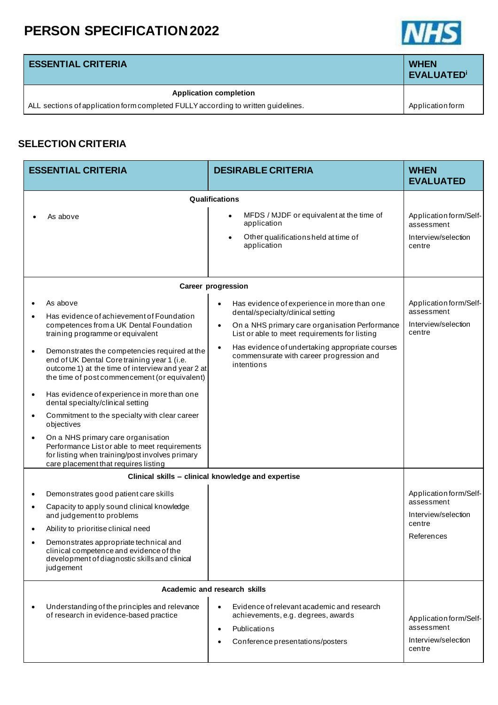

**EVALUATED<sup>i</sup>**

#### **ESSENTIAL CRITERIA <b>WHEN**

#### **Application completion**

ALL sections of application form completed FULLY according to written guidelines. Application form

### **SELECTION CRITERIA**

| <b>ESSENTIAL CRITERIA</b>                                                                                                                                                                                                                                                                                                                                                                                                                                                                                                                                                                                                                                                                                                           | <b>DESIRABLE CRITERIA</b>                                                                                                                                                                                                                                                                                                               | <b>WHEN</b><br><b>EVALUATED</b>                                                     |
|-------------------------------------------------------------------------------------------------------------------------------------------------------------------------------------------------------------------------------------------------------------------------------------------------------------------------------------------------------------------------------------------------------------------------------------------------------------------------------------------------------------------------------------------------------------------------------------------------------------------------------------------------------------------------------------------------------------------------------------|-----------------------------------------------------------------------------------------------------------------------------------------------------------------------------------------------------------------------------------------------------------------------------------------------------------------------------------------|-------------------------------------------------------------------------------------|
| Qualifications                                                                                                                                                                                                                                                                                                                                                                                                                                                                                                                                                                                                                                                                                                                      |                                                                                                                                                                                                                                                                                                                                         |                                                                                     |
| As above                                                                                                                                                                                                                                                                                                                                                                                                                                                                                                                                                                                                                                                                                                                            | MFDS / MJDF or equivalent at the time of<br>٠<br>application<br>Other qualificationsheld at time of<br>$\bullet$<br>application                                                                                                                                                                                                         | Application form/Self-<br>assessment<br>Interview/selection<br>centre               |
|                                                                                                                                                                                                                                                                                                                                                                                                                                                                                                                                                                                                                                                                                                                                     | <b>Career progression</b>                                                                                                                                                                                                                                                                                                               |                                                                                     |
| As above<br>Has evidence of achievement of Foundation<br>competences from a UK Dental Foundation<br>training programme or equivalent<br>Demonstrates the competencies required at the<br>$\bullet$<br>end of UK Dental Core training year 1 (i.e.<br>outcome 1) at the time of interview and year 2 at<br>the time of post commencement (or equivalent)<br>Has evidence of experience in more than one<br>$\bullet$<br>dental specialty/clinical setting<br>Commitment to the specialty with clear career<br>$\bullet$<br>objectives<br>On a NHS primary care organisation<br>$\bullet$<br>Performance List or able to meet requirements<br>for listing when training/post involves primary<br>care placement that requires listing | Has evidence of experience in more than one<br>$\bullet$<br>dental/specialty/clinical setting<br>On a NHS primary care organisation Performance<br>$\bullet$<br>List or able to meet requirements for listing<br>Has evidence of undertaking appropriate courses<br>$\bullet$<br>commensurate with career progression and<br>intentions | Application form/Self-<br>assessment<br>Interview/selection<br>centre               |
| Clinical skills - clinical knowledge and expertise                                                                                                                                                                                                                                                                                                                                                                                                                                                                                                                                                                                                                                                                                  |                                                                                                                                                                                                                                                                                                                                         |                                                                                     |
| Demonstrates good patient care skills<br>$\bullet$<br>Capacity to apply sound clinical knowledge<br>$\bullet$<br>and judgement to problems<br>Ability to prioritise clinical need<br>Demonstrates appropriate technical and<br>clinical competence and evidence of the<br>development of diagnostic skills and clinical<br>judgement                                                                                                                                                                                                                                                                                                                                                                                                |                                                                                                                                                                                                                                                                                                                                         | Application form/Self-<br>assessment<br>Interview/selection<br>centre<br>References |
| Academic and research skills                                                                                                                                                                                                                                                                                                                                                                                                                                                                                                                                                                                                                                                                                                        |                                                                                                                                                                                                                                                                                                                                         |                                                                                     |
| Understanding of the principles and relevance<br>of research in evidence-based practice                                                                                                                                                                                                                                                                                                                                                                                                                                                                                                                                                                                                                                             | Evidence of relevant academic and research<br>achievements, e.g. degrees, awards<br>Publications<br>Conference presentations/posters                                                                                                                                                                                                    | Application form/Self-<br>assessment<br>Interview/selection<br>centre               |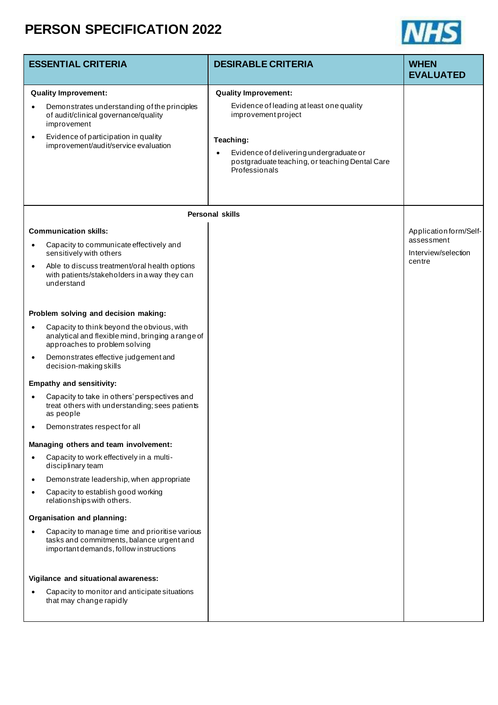

| <b>ESSENTIAL CRITERIA</b>            |                                                                                                                                                                                                                   | <b>DESIRABLE CRITERIA</b>                                                                                                            | <b>WHEN</b>                                                           |
|--------------------------------------|-------------------------------------------------------------------------------------------------------------------------------------------------------------------------------------------------------------------|--------------------------------------------------------------------------------------------------------------------------------------|-----------------------------------------------------------------------|
|                                      |                                                                                                                                                                                                                   |                                                                                                                                      | <b>EVALUATED</b>                                                      |
|                                      | <b>Quality Improvement:</b>                                                                                                                                                                                       | <b>Quality Improvement:</b>                                                                                                          |                                                                       |
| $\bullet$                            | Demonstrates understanding of the principles<br>of audit/clinical governance/quality<br>improvement                                                                                                               | Evidence of leading at least one quality<br>improvement project                                                                      |                                                                       |
| $\bullet$                            | Evidence of participation in quality<br>improvement/audit/service evaluation                                                                                                                                      | Teaching:<br>Evidence of delivering undergraduate or<br>$\bullet$<br>postgraduate teaching, or teaching Dental Care<br>Professionals |                                                                       |
|                                      |                                                                                                                                                                                                                   | <b>Personal skills</b>                                                                                                               |                                                                       |
| $\bullet$<br>$\bullet$               | <b>Communication skills:</b><br>Capacity to communicate effectively and<br>sensitively with others<br>Able to discuss treatment/oral health options<br>with patients/stakeholders in a way they can<br>understand |                                                                                                                                      | Application form/Self-<br>assessment<br>Interview/selection<br>centre |
| Problem solving and decision making: |                                                                                                                                                                                                                   |                                                                                                                                      |                                                                       |
| $\bullet$                            | Capacity to think beyond the obvious, with<br>analytical and flexible mind, bringing a range of<br>approaches to problem solving                                                                                  |                                                                                                                                      |                                                                       |
| $\bullet$                            | Demonstrates effective judgement and<br>decision-making skills                                                                                                                                                    |                                                                                                                                      |                                                                       |
|                                      | <b>Empathy and sensitivity:</b>                                                                                                                                                                                   |                                                                                                                                      |                                                                       |
| $\bullet$                            | Capacity to take in others' perspectives and<br>treat others with understanding; sees patients<br>as people                                                                                                       |                                                                                                                                      |                                                                       |
|                                      | Demonstrates respect for all                                                                                                                                                                                      |                                                                                                                                      |                                                                       |
|                                      | Managing others and team involvement:                                                                                                                                                                             |                                                                                                                                      |                                                                       |
| $\bullet$                            | Capacity to work effectively in a multi-<br>disciplinary team                                                                                                                                                     |                                                                                                                                      |                                                                       |
| $\bullet$                            | Demonstrate leadership, when appropriate                                                                                                                                                                          |                                                                                                                                      |                                                                       |
| $\bullet$                            | Capacity to establish good working<br>relationships with others.                                                                                                                                                  |                                                                                                                                      |                                                                       |
|                                      | Organisation and planning:                                                                                                                                                                                        |                                                                                                                                      |                                                                       |
| $\bullet$                            | Capacity to manage time and prioritise various<br>tasks and commitments, balance urgent and<br>important demands, follow instructions                                                                             |                                                                                                                                      |                                                                       |
|                                      | Vigilance and situational awareness:                                                                                                                                                                              |                                                                                                                                      |                                                                       |
| $\bullet$                            | Capacity to monitor and anticipate situations<br>that may change rapidly                                                                                                                                          |                                                                                                                                      |                                                                       |